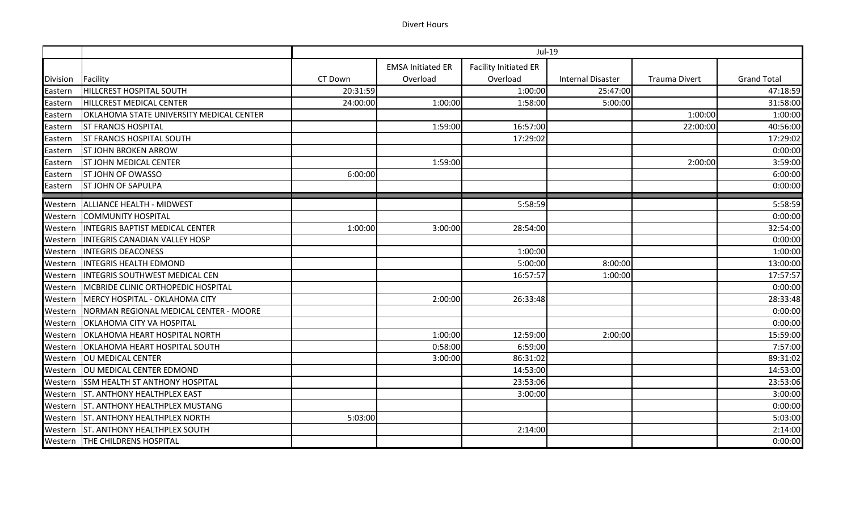## Divert Hours

|                 |                                           | Jul-19   |                          |                              |                          |                      |                    |
|-----------------|-------------------------------------------|----------|--------------------------|------------------------------|--------------------------|----------------------|--------------------|
|                 |                                           |          | <b>EMSA Initiated ER</b> | <b>Facility Initiated ER</b> |                          |                      |                    |
| <b>Division</b> | Facility                                  | CT Down  | Overload                 | Overload                     | <b>Internal Disaster</b> | <b>Trauma Divert</b> | <b>Grand Total</b> |
| Eastern         | <b>HILLCREST HOSPITAL SOUTH</b>           | 20:31:59 |                          | 1:00:00                      | 25:47:00                 |                      | 47:18:59           |
| Eastern         | HILLCREST MEDICAL CENTER                  | 24:00:00 | 1:00:00                  | 1:58:00                      | 5:00:00                  |                      | 31:58:00           |
| Eastern         | OKLAHOMA STATE UNIVERSITY MEDICAL CENTER  |          |                          |                              |                          | 1:00:00              | 1:00:00            |
| Eastern         | <b>ST FRANCIS HOSPITAL</b>                |          | 1:59:00                  | 16:57:00                     |                          | 22:00:00             | 40:56:00           |
| Eastern         | <b>ST FRANCIS HOSPITAL SOUTH</b>          |          |                          | 17:29:02                     |                          |                      | 17:29:02           |
| Eastern         | <b>ST JOHN BROKEN ARROW</b>               |          |                          |                              |                          |                      | 0:00:00            |
| Eastern         | <b>ST JOHN MEDICAL CENTER</b>             |          | 1:59:00                  |                              |                          | 2:00:00              | 3:59:00            |
| Eastern         | <b>ST JOHN OF OWASSO</b>                  | 6:00:00  |                          |                              |                          |                      | 6:00:00            |
| Eastern         | <b>ST JOHN OF SAPULPA</b>                 |          |                          |                              |                          |                      | 0:00:00            |
| Western         | ALLIANCE HEALTH - MIDWEST                 |          |                          | 5:58:59                      |                          |                      | 5:58:59            |
| Western         | <b>COMMUNITY HOSPITAL</b>                 |          |                          |                              |                          |                      | 0:00:00            |
| Western         | <b>INTEGRIS BAPTIST MEDICAL CENTER</b>    | 1:00:00  | 3:00:00                  | 28:54:00                     |                          |                      | 32:54:00           |
| Western         | <b>INTEGRIS CANADIAN VALLEY HOSP</b>      |          |                          |                              |                          |                      | 0:00:00            |
| Western         | <b>INTEGRIS DEACONESS</b>                 |          |                          | 1:00:00                      |                          |                      | 1:00:00            |
| Western         | <b>INTEGRIS HEALTH EDMOND</b>             |          |                          | 5:00:00                      | 8:00:00                  |                      | 13:00:00           |
| Western         | <b>INTEGRIS SOUTHWEST MEDICAL CEN</b>     |          |                          | 16:57:57                     | 1:00:00                  |                      | 17:57:57           |
| Western         | <b>MCBRIDE CLINIC ORTHOPEDIC HOSPITAL</b> |          |                          |                              |                          |                      | 0:00:00            |
| Western         | MERCY HOSPITAL - OKLAHOMA CITY            |          | 2:00:00                  | 26:33:48                     |                          |                      | 28:33:48           |
| Western         | NORMAN REGIONAL MEDICAL CENTER - MOORE    |          |                          |                              |                          |                      | 0:00:00            |
| Western         | <b>OKLAHOMA CITY VA HOSPITAL</b>          |          |                          |                              |                          |                      | 0:00:00            |
| Western         | <b>OKLAHOMA HEART HOSPITAL NORTH</b>      |          | 1:00:00                  | 12:59:00                     | 2:00:00                  |                      | 15:59:00           |
| Western         | OKLAHOMA HEART HOSPITAL SOUTH             |          | 0:58:00                  | 6:59:00                      |                          |                      | 7:57:00            |
| Western         | <b>OU MEDICAL CENTER</b>                  |          | 3:00:00                  | 86:31:02                     |                          |                      | 89:31:02           |
| Western         | OU MEDICAL CENTER EDMOND                  |          |                          | 14:53:00                     |                          |                      | 14:53:00           |
| Western         | <b>SSM HEALTH ST ANTHONY HOSPITAL</b>     |          |                          | 23:53:06                     |                          |                      | 23:53:06           |
| Western         | <b>ST. ANTHONY HEALTHPLEX EAST</b>        |          |                          | 3:00:00                      |                          |                      | 3:00:00            |
| Western         | <b>ST. ANTHONY HEALTHPLEX MUSTANG</b>     |          |                          |                              |                          |                      | 0:00:00            |
| Western         | <b>ST. ANTHONY HEALTHPLEX NORTH</b>       | 5:03:00  |                          |                              |                          |                      | 5:03:00            |
| Western         | <b>ST. ANTHONY HEALTHPLEX SOUTH</b>       |          |                          | 2:14:00                      |                          |                      | 2:14:00            |
|                 | Western THE CHILDRENS HOSPITAL            |          |                          |                              |                          |                      | 0:00:00            |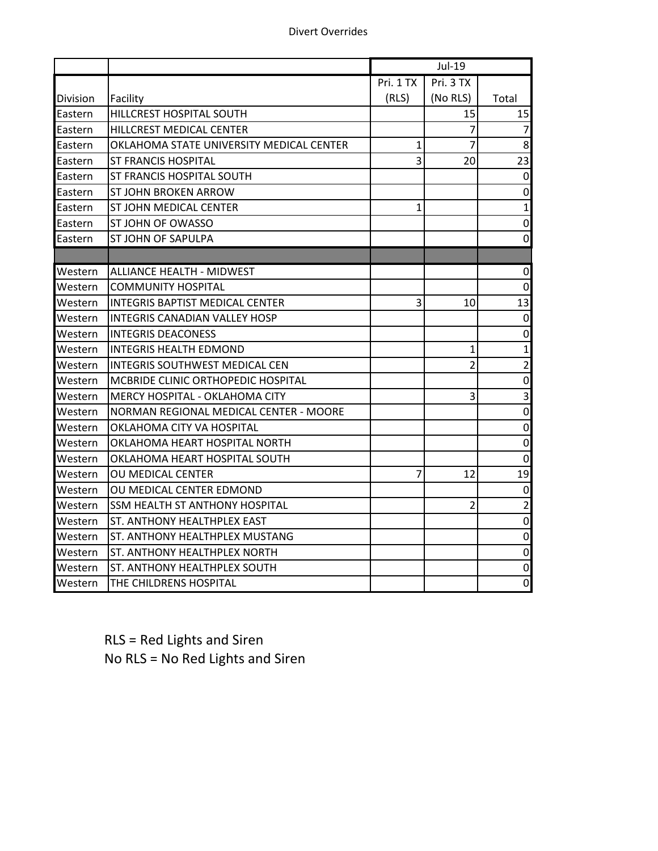|                  |                                          |           | Jul-19                   |                         |
|------------------|------------------------------------------|-----------|--------------------------|-------------------------|
|                  |                                          | Pri. 1 TX | Pri. 3 TX                |                         |
| <b>IDivision</b> | Facility                                 | (RLS)     | (No RLS)                 | Total                   |
| Eastern          | HILLCREST HOSPITAL SOUTH                 |           | 15                       | 15                      |
| Eastern          | HILLCREST MEDICAL CENTER                 |           | 7                        | $\overline{7}$          |
| Eastern          | OKLAHOMA STATE UNIVERSITY MEDICAL CENTER | 1         | 7                        | 8                       |
| Eastern          | <b>ST FRANCIS HOSPITAL</b>               | 3         | 20                       | 23                      |
| Eastern          | ST FRANCIS HOSPITAL SOUTH                |           |                          | $\pmb{0}$               |
| Eastern          | ST JOHN BROKEN ARROW                     |           |                          | 0                       |
| Eastern          | ST JOHN MEDICAL CENTER                   | 1         |                          | $\mathbf{1}$            |
| Eastern          | ST JOHN OF OWASSO                        |           |                          | $\pmb{0}$               |
| Eastern          | ST JOHN OF SAPULPA                       |           |                          | $\pmb{0}$               |
|                  |                                          |           |                          |                         |
| Western          | <b>ALLIANCE HEALTH - MIDWEST</b>         |           |                          | $\boldsymbol{0}$        |
| Western          | <b>COMMUNITY HOSPITAL</b>                |           |                          | $\mathbf 0$             |
| Western          | <b>INTEGRIS BAPTIST MEDICAL CENTER</b>   | 3         | 10                       | 13                      |
| Western          | INTEGRIS CANADIAN VALLEY HOSP            |           |                          | $\boldsymbol{0}$        |
| Western          | <b>INTEGRIS DEACONESS</b>                |           |                          | 0                       |
| Western          | <b>INTEGRIS HEALTH EDMOND</b>            |           | 1                        | $\mathbf{1}$            |
| Western          | <b>INTEGRIS SOUTHWEST MEDICAL CEN</b>    |           | $\overline{\mathcal{L}}$ | $\overline{2}$          |
| Western          | MCBRIDE CLINIC ORTHOPEDIC HOSPITAL       |           |                          | $\pmb{0}$               |
| Western          | MERCY HOSPITAL - OKLAHOMA CITY           |           | 3                        | $\overline{\mathbf{3}}$ |
| Western          | NORMAN REGIONAL MEDICAL CENTER - MOORE   |           |                          | $\pmb{0}$               |
| Western          | OKLAHOMA CITY VA HOSPITAL                |           |                          | $\pmb{0}$               |
| Western          | OKLAHOMA HEART HOSPITAL NORTH            |           |                          | $\pmb{0}$               |
| Western          | OKLAHOMA HEART HOSPITAL SOUTH            |           |                          | $\pmb{0}$               |
| Western          | OU MEDICAL CENTER                        | 7         | 12                       | 19                      |
| Western          | OU MEDICAL CENTER EDMOND                 |           |                          | $\pmb{0}$               |
| Western          | SSM HEALTH ST ANTHONY HOSPITAL           |           | $\overline{2}$           | $\overline{2}$          |
| Western          | ST. ANTHONY HEALTHPLEX EAST              |           |                          | $\pmb{0}$               |
| Western          | ST. ANTHONY HEALTHPLEX MUSTANG           |           |                          | $\pmb{0}$               |
| Western          | ST. ANTHONY HEALTHPLEX NORTH             |           |                          | $\pmb{0}$               |
| Western          | ST. ANTHONY HEALTHPLEX SOUTH             |           |                          | 0                       |
| Western          | THE CHILDRENS HOSPITAL                   |           |                          | $\mathbf 0$             |

RLS = Red Lights and Siren No RLS = No Red Lights and Siren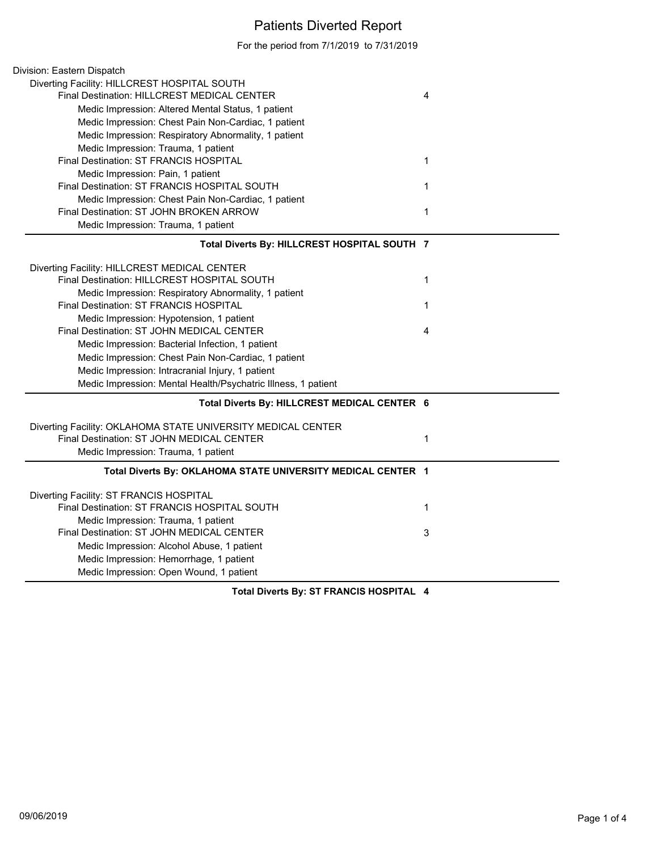## Patients Diverted Report

For the period from 7/1/2019 to 7/31/2019

| Division: Eastern Dispatch                                    |             |
|---------------------------------------------------------------|-------------|
| Diverting Facility: HILLCREST HOSPITAL SOUTH                  |             |
| Final Destination: HILLCREST MEDICAL CENTER                   | 4           |
| Medic Impression: Altered Mental Status, 1 patient            |             |
| Medic Impression: Chest Pain Non-Cardiac, 1 patient           |             |
| Medic Impression: Respiratory Abnormality, 1 patient          |             |
| Medic Impression: Trauma, 1 patient                           |             |
| Final Destination: ST FRANCIS HOSPITAL                        | $\mathbf 1$ |
| Medic Impression: Pain, 1 patient                             |             |
| Final Destination: ST FRANCIS HOSPITAL SOUTH                  | 1           |
| Medic Impression: Chest Pain Non-Cardiac, 1 patient           |             |
| Final Destination: ST JOHN BROKEN ARROW                       | 1           |
| Medic Impression: Trauma, 1 patient                           |             |
| Total Diverts By: HILLCREST HOSPITAL SOUTH 7                  |             |
| Diverting Facility: HILLCREST MEDICAL CENTER                  |             |
| Final Destination: HILLCREST HOSPITAL SOUTH                   | 1           |
| Medic Impression: Respiratory Abnormality, 1 patient          |             |
| Final Destination: ST FRANCIS HOSPITAL                        | $\mathbf 1$ |
| Medic Impression: Hypotension, 1 patient                      |             |
| Final Destination: ST JOHN MEDICAL CENTER                     | 4           |
| Medic Impression: Bacterial Infection, 1 patient              |             |
| Medic Impression: Chest Pain Non-Cardiac, 1 patient           |             |
| Medic Impression: Intracranial Injury, 1 patient              |             |
| Medic Impression: Mental Health/Psychatric Illness, 1 patient |             |
| Total Diverts By: HILLCREST MEDICAL CENTER 6                  |             |
| Diverting Facility: OKLAHOMA STATE UNIVERSITY MEDICAL CENTER  |             |
| Final Destination: ST JOHN MEDICAL CENTER                     | $\mathbf 1$ |
| Medic Impression: Trauma, 1 patient                           |             |
| Total Diverts By: OKLAHOMA STATE UNIVERSITY MEDICAL CENTER 1  |             |
| Diverting Facility: ST FRANCIS HOSPITAL                       |             |
| Final Destination: ST FRANCIS HOSPITAL SOUTH                  | $\mathbf 1$ |
| Medic Impression: Trauma, 1 patient                           |             |
| Final Destination: ST JOHN MEDICAL CENTER                     | 3           |
| Medic Impression: Alcohol Abuse, 1 patient                    |             |
| Medic Impression: Hemorrhage, 1 patient                       |             |
| Medic Impression: Open Wound, 1 patient                       |             |
| 27.51112121212222721                                          |             |

**Total Diverts By: ST FRANCIS HOSPITAL 4**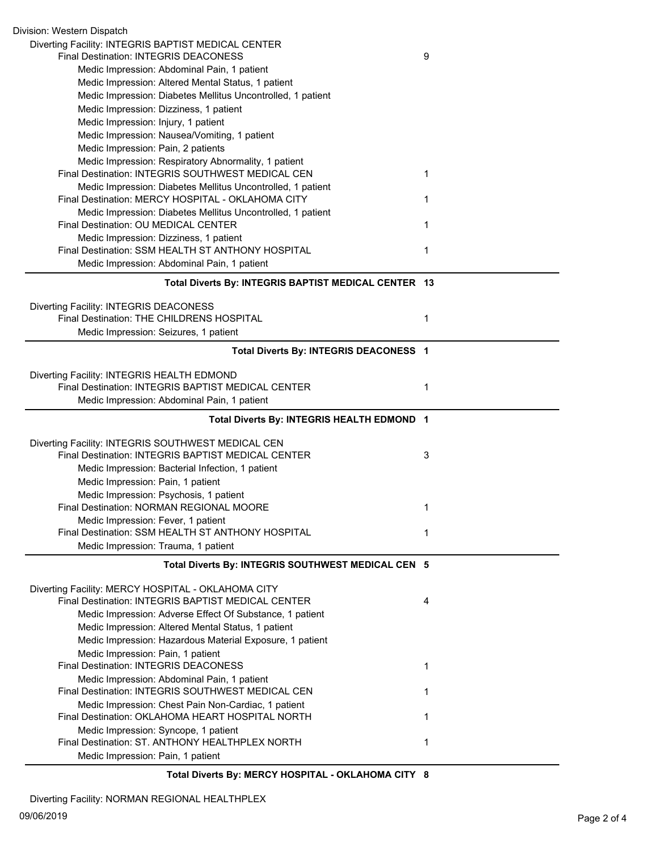| Division: Western Dispatch                                                                               |   |
|----------------------------------------------------------------------------------------------------------|---|
| Diverting Facility: INTEGRIS BAPTIST MEDICAL CENTER                                                      |   |
| Final Destination: INTEGRIS DEACONESS                                                                    | 9 |
| Medic Impression: Abdominal Pain, 1 patient                                                              |   |
| Medic Impression: Altered Mental Status, 1 patient                                                       |   |
| Medic Impression: Diabetes Mellitus Uncontrolled, 1 patient                                              |   |
| Medic Impression: Dizziness, 1 patient                                                                   |   |
| Medic Impression: Injury, 1 patient                                                                      |   |
| Medic Impression: Nausea/Vomiting, 1 patient                                                             |   |
| Medic Impression: Pain, 2 patients                                                                       |   |
| Medic Impression: Respiratory Abnormality, 1 patient                                                     |   |
| Final Destination: INTEGRIS SOUTHWEST MEDICAL CEN                                                        | 1 |
| Medic Impression: Diabetes Mellitus Uncontrolled, 1 patient                                              |   |
| Final Destination: MERCY HOSPITAL - OKLAHOMA CITY                                                        | 1 |
| Medic Impression: Diabetes Mellitus Uncontrolled, 1 patient                                              |   |
| Final Destination: OU MEDICAL CENTER                                                                     | 1 |
| Medic Impression: Dizziness, 1 patient                                                                   |   |
| Final Destination: SSM HEALTH ST ANTHONY HOSPITAL                                                        | 1 |
| Medic Impression: Abdominal Pain, 1 patient                                                              |   |
| Total Diverts By: INTEGRIS BAPTIST MEDICAL CENTER 13                                                     |   |
|                                                                                                          |   |
| Diverting Facility: INTEGRIS DEACONESS                                                                   |   |
| Final Destination: THE CHILDRENS HOSPITAL                                                                | 1 |
| Medic Impression: Seizures, 1 patient                                                                    |   |
| Total Diverts By: INTEGRIS DEACONESS 1                                                                   |   |
|                                                                                                          |   |
| Diverting Facility: INTEGRIS HEALTH EDMOND                                                               |   |
| Final Destination: INTEGRIS BAPTIST MEDICAL CENTER                                                       | 1 |
| Medic Impression: Abdominal Pain, 1 patient                                                              |   |
| Total Diverts By: INTEGRIS HEALTH EDMOND 1                                                               |   |
|                                                                                                          |   |
| Diverting Facility: INTEGRIS SOUTHWEST MEDICAL CEN                                                       |   |
| Final Destination: INTEGRIS BAPTIST MEDICAL CENTER                                                       | 3 |
| Medic Impression: Bacterial Infection, 1 patient                                                         |   |
| Medic Impression: Pain, 1 patient                                                                        |   |
| Medic Impression: Psychosis, 1 patient                                                                   |   |
| <b>Final Destination: NORMAN REGIONAL MOORE</b>                                                          | 1 |
| Medic Impression: Fever, 1 patient                                                                       |   |
| Final Destination: SSM HEALTH ST ANTHONY HOSPITAL                                                        | 1 |
| Medic Impression: Trauma, 1 patient                                                                      |   |
| Total Diverts By: INTEGRIS SOUTHWEST MEDICAL CEN 5                                                       |   |
|                                                                                                          |   |
| Diverting Facility: MERCY HOSPITAL - OKLAHOMA CITY<br>Final Destination: INTEGRIS BAPTIST MEDICAL CENTER | 4 |
| Medic Impression: Adverse Effect Of Substance, 1 patient                                                 |   |
|                                                                                                          |   |
| Medic Impression: Altered Mental Status, 1 patient                                                       |   |
| Medic Impression: Hazardous Material Exposure, 1 patient                                                 |   |
| Medic Impression: Pain, 1 patient                                                                        |   |
| <b>Final Destination: INTEGRIS DEACONESS</b>                                                             | 1 |
| Medic Impression: Abdominal Pain, 1 patient                                                              |   |
| Final Destination: INTEGRIS SOUTHWEST MEDICAL CEN                                                        | 1 |
| Medic Impression: Chest Pain Non-Cardiac, 1 patient                                                      |   |
| Final Destination: OKLAHOMA HEART HOSPITAL NORTH                                                         | 1 |
| Medic Impression: Syncope, 1 patient<br>Final Destination: ST. ANTHONY HEALTHPLEX NORTH                  | 1 |
|                                                                                                          |   |
| Medic Impression: Pain, 1 patient                                                                        |   |

**Total Diverts By: MERCY HOSPITAL - OKLAHOMA CITY 8**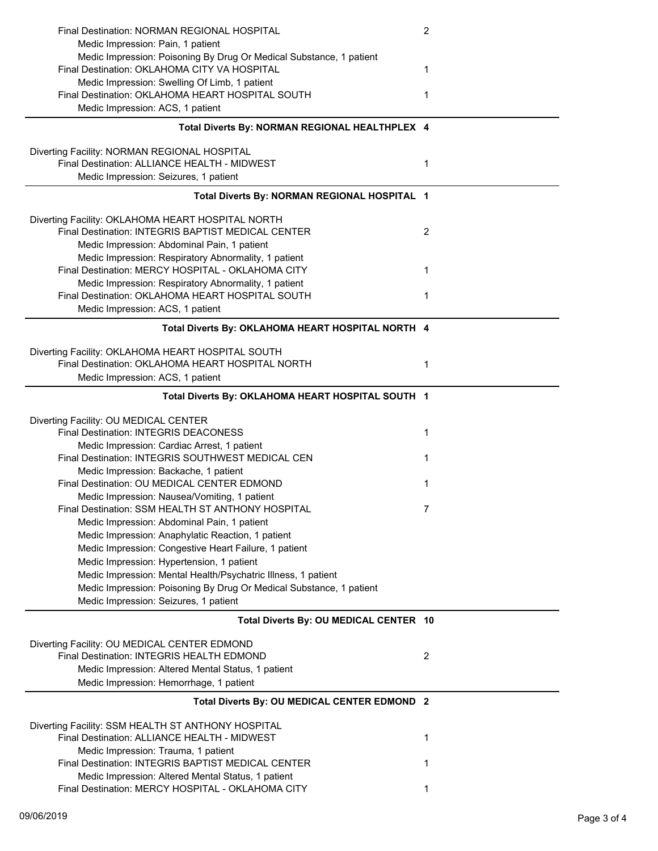| Final Destination: NORMAN REGIONAL HOSPITAL                                                              | 2 |
|----------------------------------------------------------------------------------------------------------|---|
| Medic Impression: Pain, 1 patient                                                                        |   |
| Medic Impression: Poisoning By Drug Or Medical Substance, 1 patient                                      |   |
| Final Destination: OKLAHOMA CITY VA HOSPITAL                                                             | 1 |
| Medic Impression: Swelling Of Limb, 1 patient                                                            |   |
| Final Destination: OKLAHOMA HEART HOSPITAL SOUTH<br>Medic Impression: ACS, 1 patient                     | 1 |
|                                                                                                          |   |
| Total Diverts By: NORMAN REGIONAL HEALTHPLEX 4                                                           |   |
| Diverting Facility: NORMAN REGIONAL HOSPITAL                                                             |   |
| Final Destination: ALLIANCE HEALTH - MIDWEST                                                             | 1 |
| Medic Impression: Seizures, 1 patient                                                                    |   |
| Total Diverts By: NORMAN REGIONAL HOSPITAL 1                                                             |   |
|                                                                                                          |   |
| Diverting Facility: OKLAHOMA HEART HOSPITAL NORTH                                                        |   |
| Final Destination: INTEGRIS BAPTIST MEDICAL CENTER                                                       | 2 |
| Medic Impression: Abdominal Pain, 1 patient                                                              |   |
| Medic Impression: Respiratory Abnormality, 1 patient                                                     |   |
| Final Destination: MERCY HOSPITAL - OKLAHOMA CITY                                                        | 1 |
| Medic Impression: Respiratory Abnormality, 1 patient<br>Final Destination: OKLAHOMA HEART HOSPITAL SOUTH | 1 |
| Medic Impression: ACS, 1 patient                                                                         |   |
|                                                                                                          |   |
| Total Diverts By: OKLAHOMA HEART HOSPITAL NORTH 4                                                        |   |
| Diverting Facility: OKLAHOMA HEART HOSPITAL SOUTH                                                        |   |
| Final Destination: OKLAHOMA HEART HOSPITAL NORTH                                                         | 1 |
| Medic Impression: ACS, 1 patient                                                                         |   |
| Total Diverts By: OKLAHOMA HEART HOSPITAL SOUTH 1                                                        |   |
|                                                                                                          |   |
| Diverting Facility: OU MEDICAL CENTER                                                                    |   |
| Final Destination: INTEGRIS DEACONESS                                                                    | 1 |
| Medic Impression: Cardiac Arrest, 1 patient                                                              |   |
| Final Destination: INTEGRIS SOUTHWEST MEDICAL CEN                                                        | 1 |
| Medic Impression: Backache, 1 patient<br>Final Destination: OU MEDICAL CENTER EDMOND                     | 1 |
| Medic Impression: Nausea/Vomiting, 1 patient                                                             |   |
| Final Destination: SSM HEALTH ST ANTHONY HOSPITAL                                                        |   |
| Medic Impression: Abdominal Pain, 1 patient                                                              |   |
| Medic Impression: Anaphylatic Reaction, 1 patient                                                        |   |
| Medic Impression: Congestive Heart Failure, 1 patient                                                    |   |
| Medic Impression: Hypertension, 1 patient                                                                |   |
| Medic Impression: Mental Health/Psychatric Illness, 1 patient                                            |   |
| Medic Impression: Poisoning By Drug Or Medical Substance, 1 patient                                      |   |
| Medic Impression: Seizures, 1 patient                                                                    |   |
| Total Diverts By: OU MEDICAL CENTER 10                                                                   |   |
|                                                                                                          |   |
| Diverting Facility: OU MEDICAL CENTER EDMOND<br>Final Destination: INTEGRIS HEALTH EDMOND                | 2 |
| Medic Impression: Altered Mental Status, 1 patient                                                       |   |
| Medic Impression: Hemorrhage, 1 patient                                                                  |   |
| Total Diverts By: OU MEDICAL CENTER EDMOND 2                                                             |   |
|                                                                                                          |   |
| Diverting Facility: SSM HEALTH ST ANTHONY HOSPITAL                                                       |   |
| Final Destination: ALLIANCE HEALTH - MIDWEST                                                             | 1 |
| Medic Impression: Trauma, 1 patient<br>Final Destination: INTEGRIS BAPTIST MEDICAL CENTER                |   |
| Medic Impression: Altered Mental Status, 1 patient                                                       | 1 |
| Final Destination: MERCY HOSPITAL - OKLAHOMA CITY                                                        | 1 |
|                                                                                                          |   |